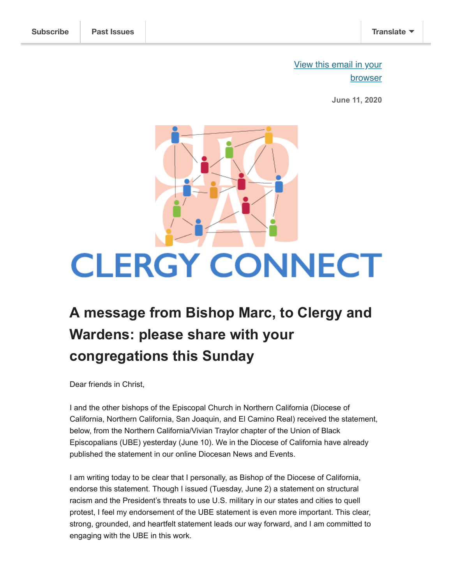View this email in your browser

**June 11, 2020**



# **A message from Bishop Marc, to Clergy and Wardens: please share with your congregations this Sunday**

Dear friends in Christ,

I and the other bishops of the Episcopal Church in Northern California (Diocese of California, Northern California, San Joaquin, and El Camino Real) received the statement, below, from the Northern California/Vivian Traylor chapter of the Union of Black Episcopalians (UBE) yesterday (June 10). We in the Diocese of California have already published the statement in our online Diocesan News and Events.

I am writing today to be clear that I personally, as Bishop of the Diocese of California, endorse this statement. Though I issued (Tuesday, June 2) a statement on structural racism and the President's threats to use U.S. military in our states and cities to quell protest, I feel my endorsement of the UBE statement is even more important. This clear, strong, grounded, and heartfelt statement leads our way forward, and I am committed to engaging with the UBE in this work.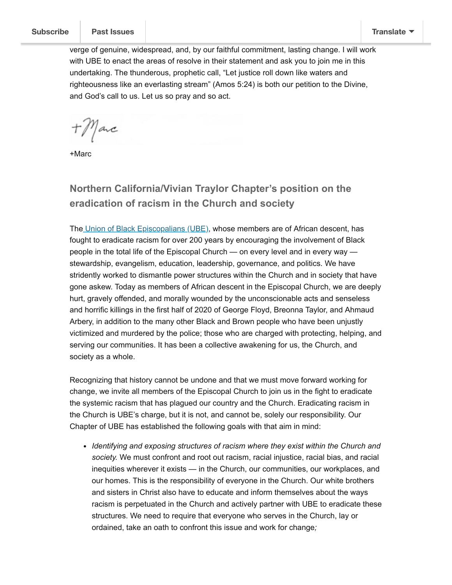verge of genuine, widespread, and, by our faithful commitment, lasting change. I will work with UBE to enact the areas of resolve in their statement and ask you to join me in this undertaking. The thunderous, prophetic call, "Let justice roll down like waters and righteousness like an everlasting stream" (Amos 5:24) is both our petition to the Divine, and God's call to us. Let us so pray and so act.

moments of colonization in this land, I do sense, with many, that we have reached the many, that we have reach

 $f$ / arc

+Marc

# **Northern California/Vivian Traylor Chapter's position on the eradication of racism in the Church and society**

The Union of Black Episcopalians (UBE), whose members are of African descent, has fought to eradicate racism for over 200 years by encouraging the involvement of Black people in the total life of the Episcopal Church — on every level and in every way stewardship, evangelism, education, leadership, governance, and politics. We have stridently worked to dismantle power structures within the Church and in society that have gone askew. Today as members of African descent in the Episcopal Church, we are deeply hurt, gravely offended, and morally wounded by the unconscionable acts and senseless and horrific killings in the first half of 2020 of George Floyd, Breonna Taylor, and Ahmaud Arbery, in addition to the many other Black and Brown people who have been unjustly victimized and murdered by the police; those who are charged with protecting, helping, and serving our communities. It has been a collective awakening for us, the Church, and society as a whole.

Recognizing that history cannot be undone and that we must move forward working for change, we invite all members of the Episcopal Church to join us in the fight to eradicate the systemic racism that has plagued our country and the Church. Eradicating racism in the Church is UBE's charge, but it is not, and cannot be, solely our responsibility. Our Chapter of UBE has established the following goals with that aim in mind:

*Identifying and exposing structures of racism where they exist within the Church and society.* We must confront and root out racism, racial injustice, racial bias, and racial inequities wherever it exists — in the Church, our communities, our workplaces, and our homes. This is the responsibility of everyone in the Church. Our white brothers and sisters in Christ also have to educate and inform themselves about the ways racism is perpetuated in the Church and actively partner with UBE to eradicate these structures. We need to require that everyone who serves in the Church, lay or ordained, take an oath to confront this issue and work for change*;*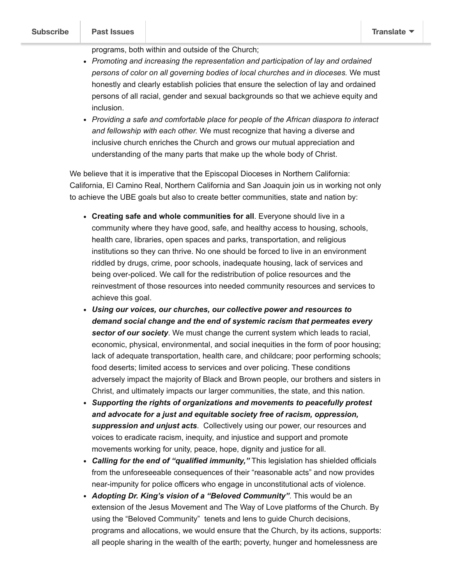programs, both within and outside of the Church;

- *Promoting and increasing the representation and participation of lay and ordained persons of color on all governing bodies of local churches and in dioceses.* We must honestly and clearly establish policies that ensure the selection of lay and ordained persons of all racial, gender and sexual backgrounds so that we achieve equity and inclusion.
- *Providing a safe and comfortable place for people of the African diaspora to interact and fellowship with each other.* We must recognize that having a diverse and inclusive church enriches the Church and grows our mutual appreciation and understanding of the many parts that make up the whole body of Christ.

We believe that it is imperative that the Episcopal Dioceses in Northern California: California, El Camino Real, Northern California and San Joaquin join us in working not only to achieve the UBE goals but also to create better communities, state and nation by:

- **Creating safe and whole communities for all**. Everyone should live in a community where they have good, safe, and healthy access to housing, schools, health care, libraries, open spaces and parks, transportation, and religious institutions so they can thrive. No one should be forced to live in an environment riddled by drugs, crime, poor schools, inadequate housing, lack of services and being over-policed. We call for the redistribution of police resources and the reinvestment of those resources into needed community resources and services to achieve this goal.
- *Using our voices, our churches, our collective power and resources to demand social change and the end of systemic racism that permeates every sector of our society*. We must change the current system which leads to racial, economic, physical, environmental, and social inequities in the form of poor housing; lack of adequate transportation, health care, and childcare; poor performing schools; food deserts; limited access to services and over policing. These conditions adversely impact the majority of Black and Brown people, our brothers and sisters in Christ, and ultimately impacts our larger communities, the state, and this nation.
- *Supporting the rights of organizations and movements to peacefully protest and advocate for a just and equitable society free of racism, oppression, suppression and unjust acts*. Collectively using our power, our resources and voices to eradicate racism, inequity, and injustice and support and promote movements working for unity, peace, hope, dignity and justice for all.
- *Calling for the end of "qualified immunity,"* This legislation has shielded officials from the unforeseeable consequences of their "reasonable acts" and now provides near-impunity for police officers who engage in unconstitutional acts of violence.
- *Adopting Dr. King's vision of a "Beloved Community"*. This would be an extension of the Jesus Movement and The Way of Love platforms of the Church. By using the "Beloved Community" tenets and lens to guide Church decisions, programs and allocations, we would ensure that the Church, by its actions, supports: all people sharing in the wealth of the earth; poverty, hunger and homelessness are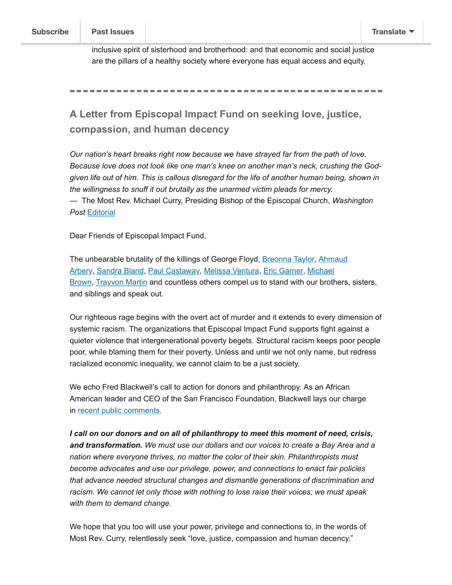inclusive spirit of sisterhood and brotherhood: and that economic and social justice are the pillars of a healthy society where everyone has equal access and equity.

## **A Letter from Episcopal Impact Fund on seeking love, justice, compassion, and human decency**

*Our nation's heart breaks right now because we have strayed far from the path of love. Because love does not look like one man's knee on another man's neck, crushing the Godgiven life out of him. This is callous disregard for the life of another human being, shown in the willingness to snuff it out brutally as the unarmed victim pleads for mercy.* — The Most Rev. Michael Curry, Presiding Bishop of the Episcopal Church, *Washington* **Post Editorial** 

Dear Friends of Episcopal Impact Fund,

The unbearable brutality of the killings of George Floyd, Breonna Taylor, Ahmaud Arbery, Sandra Bland, Paul Castaway, Melissa Ventura, Eric Garner, Michael Brown, Trayvon Martin and countless others compel us to stand with our brothers, sisters, and siblings and speak out.

Our righteous rage begins with the overt act of murder and it extends to every dimension of systemic racism. The organizations that Episcopal Impact Fund supports fight against a quieter violence that intergenerational poverty begets. Structural racism keeps poor people poor, while blaming them for their poverty. Unless and until we not only name, but redress racialized economic inequality, we cannot claim to be a just society.

We echo Fred Blackwell's call to action for donors and philanthropy. As an African American leader and CEO of the San Francisco Foundation, Blackwell lays our charge in recent public comments.

*I call on our donors and on all of philanthropy to meet this moment of need, crisis, and transformation. We must use our dollars and our voices to create a Bay Area and a nation where everyone thrives, no matter the color of their skin. Philanthropists must become advocates and use our privilege, power, and connections to enact fair policies that advance needed structural changes and dismantle generations of discrimination and racism. We cannot let only those with nothing to lose raise their voices; we must speak with them to demand change.* 

We hope that you too will use your power, privilege and connections to, in the words of Most Rev. Curry, relentlessly seek "love, justice, compassion and human decency."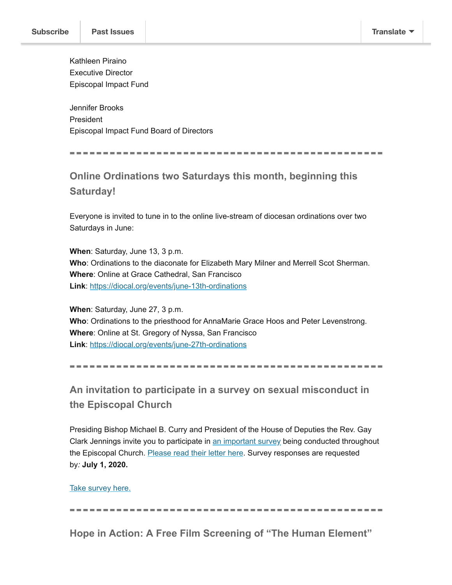Kathleen Piraino Executive Director Episcopal Impact Fund

Jennifer Brooks President Episcopal Impact Fund Board of Directors

# **Online Ordinations two Saturdays this month, beginning this Saturday!**

Everyone is invited to tune in to the online live-stream of diocesan ordinations over two Saturdays in June:

**When**: Saturday, June 13, 3 p.m. **Who**: Ordinations to the diaconate for Elizabeth Mary Milner and Merrell Scot Sherman. **Where**: Online at Grace Cathedral, San Francisco **Link**: https://diocal.org/events/june-13th-ordinations

**When**: Saturday, June 27, 3 p.m. **Who**: Ordinations to the priesthood for AnnaMarie Grace Hoos and Peter Levenstrong. **Where**: Online at St. Gregory of Nyssa, San Francisco **Link**: https://diocal.org/events/june-27th-ordinations

**An invitation to participate in a survey on sexual misconduct in the Episcopal Church**

Presiding Bishop Michael B. Curry and President of the House of Deputies the Rev. Gay Clark Jennings invite you to participate in an important survey being conducted throughout the Episcopal Church. Please read their letter here. Survey responses are requested by*:* **July 1, 2020.**

Take survey here.

**Hope in Action: A Free Film Screening of "The Human Element"**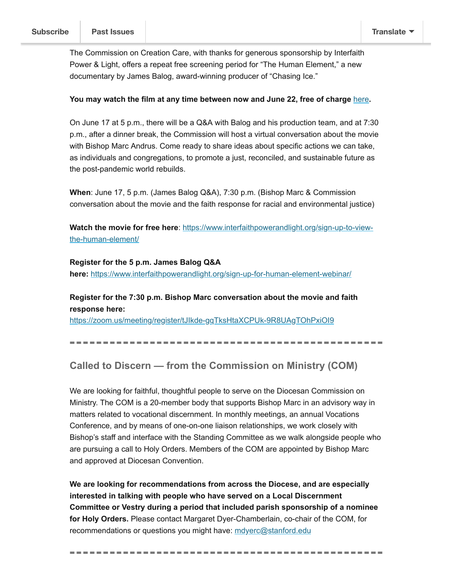The Commission on Creation Care, with thanks for generous sponsorship by Interfaith Power & Light, offers a repeat free screening period for "The Human Element," a new documentary by James Balog, award-winning producer of "Chasing Ice."

#### **You may watch the film at any time between now and June 22, free of charge** here**.**

On June 17 at 5 p.m., there will be a Q&A with Balog and his production team, and at 7:30 p.m., after a dinner break, the Commission will host a virtual conversation about the movie with Bishop Marc Andrus. Come ready to share ideas about specific actions we can take, as individuals and congregations, to promote a just, reconciled, and sustainable future as the post-pandemic world rebuilds.

**When**: June 17, 5 p.m. (James Balog Q&A), 7:30 p.m. (Bishop Marc & Commission conversation about the movie and the faith response for racial and environmental justice)

**Watch the movie for free here**: https://www.interfaithpowerandlight.org/sign-up-to-viewthe-human-element/

#### **Register for the 5 p.m. James Balog Q&A**

**here:** https://www.interfaithpowerandlight.org/sign-up-for-human-element-webinar/

### **Register for the 7:30 p.m. Bishop Marc conversation about the movie and faith response here:**

https://zoom.us/meeting/register/tJIkde-gqTksHtaXCPUk-9R8UAgTOhPxiOI9

### **Called to Discern — from the Commission on Ministry (COM)**

We are looking for faithful, thoughtful people to serve on the Diocesan Commission on Ministry. The COM is a 20-member body that supports Bishop Marc in an advisory way in matters related to vocational discernment. In monthly meetings, an annual Vocations Conference, and by means of one-on-one liaison relationships, we work closely with Bishop's staff and interface with the Standing Committee as we walk alongside people who are pursuing a call to Holy Orders. Members of the COM are appointed by Bishop Marc and approved at Diocesan Convention.

**We are looking for recommendations from across the Diocese, and are especially interested in talking with people who have served on a Local Discernment Committee or Vestry during a period that included parish sponsorship of a nominee for Holy Orders.** Please contact Margaret Dyer-Chamberlain, co-chair of the COM, for recommendations or questions you might have: mdyerc@stanford.edu